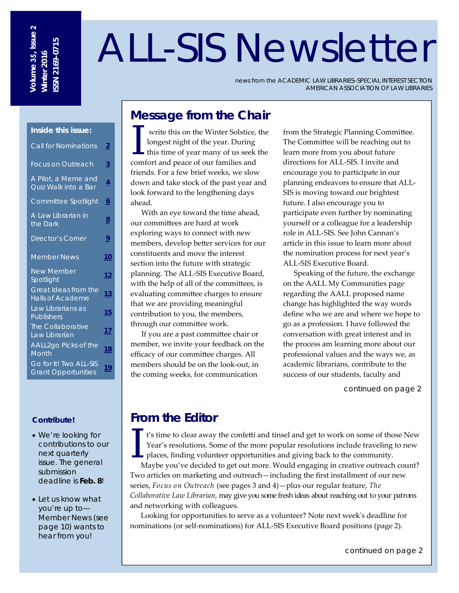# ALL-SIS Newsletter

news from the ACADEMIC LAW LIBRARIES–SPECIAL INTEREST SECTION AMERICAN ASSOCIATION OF LAW LIBRARIES

# **Message from the Chair**

I write this on the Winter Solstice, the longest night of the year. During this time of year many of us seek the comfort and necessarily families and longest night of the year. During comfort and peace of our families and friends. For a few brief weeks, we slow down and take stock of the past year and look forward to the lengthening days ahead.

With an eye toward the time ahead, our committees are hard at work exploring ways to connect with new members, develop better services for our constituents and move the interest section into the future with strategic planning. The ALL‐SIS Executive Board, with the help of all of the committees, is evaluating committee charges to ensure that we are providing meaningful contribution to you, the members, through our committee work.

If you are a past committee chair or member, we invite your feedback on the efficacy of our committee charges. All members should be on the look‐out, in the coming weeks, for communication

from the Strategic Planning Committee. The Committee will be reaching out to learn more from you about future directions for ALL‐SIS. I invite and encourage you to participate in our planning endeavors to ensure that ALL‐ SIS is moving toward our brightest future. I also encourage you to participate even further by nominating yourself or a colleague for a leadership role in ALL‐SIS. See John Cannan's article in this issue to learn more about the nomination process for next year's ALL‐SIS Executive Board.

Speaking of the future, the exchange on the AALL My Communities page regarding the AALL proposed name change has highlighted the way words define who we are and where we hope to go as a profession. I have followed the conversation with great interest and in the process am learning more about our professional values and the ways we, as academic librarians, contribute to the success of our students, faculty and

continued on page 2

# **From the Editor**

I's time to clear away the confetti and tinsel and get to work on some of those New Year's resolutions. Some of the more popular resolutions include traveling to new places, finding volunteer opportunities and giving back Year's resolutions. Some of the more popular resolutions include traveling to new places, finding volunteer opportunities and giving back to the community.

Maybe you've decided to get out more. Would engaging in creative outreach count? Two articles on marketing and outreach—including the first installment of our new series, *Focus on Outreach* (see pages 3 and 4)—plus our regular feature, *The Collaborative Law Librarian*, may give you some fresh ideas about reaching out to your patrons and networking with colleagues.

Looking for opportunities to serve as a volunteer? Note next weekʹs deadline for nominations (or self-nominations) for ALL-SIS Executive Board positions (page 2).

#### **Inside this issue:**

| <b>Call for Nominations</b>                            | $\overline{2}$ |
|--------------------------------------------------------|----------------|
| <b>Focus on Outreach</b>                               | $\overline{3}$ |
| A Pilot, a Meme and<br>Quiz Walk into a Bar            | $\overline{4}$ |
| Committee Spotlight                                    | <u>6</u>       |
| A Law Librarian in<br>the Dark                         | 8              |
| <b>Director's Corner</b>                               | $\overline{2}$ |
| <b>Member News</b>                                     | 10             |
| <b>New Member</b><br>Spotlight                         | 12             |
| <b>Great Ideas from the</b><br><b>Halls of Academe</b> | 13             |
| Law Librarians as<br><b>Publishers</b>                 | 15             |
| <b>The Collaborative</b><br>Law Librarian              | 17             |
| AALL2go Picks of the<br>Month                          | 18             |
| Go for It! Two ALL-SIS<br><b>Grant Opportunities</b>   | 19             |

# **Contribute!**

- We're looking for contributions to our next quarterly issue. The general submission deadline is **Feb. 8**!
- Let us know what you're up to— Member News (see page 10) wants to hear from you!

continued on page 2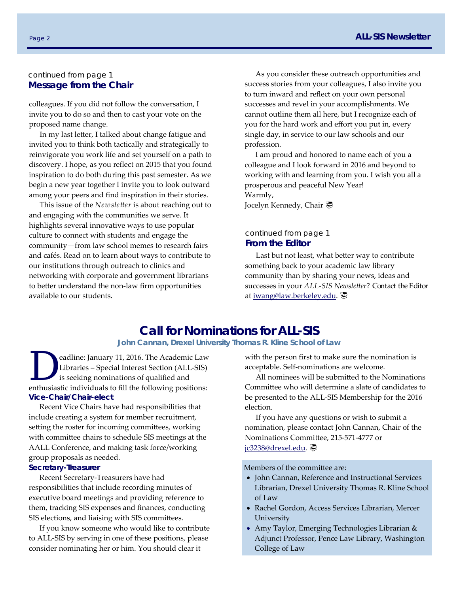# continued from page 1 **Message from the Chair**

colleagues. If you did not follow the conversation, I invite you to do so and then to cast your vote on the proposed name change.

In my last letter, I talked about change fatigue and invited you to think both tactically and strategically to reinvigorate you work life and set yourself on a path to discovery. I hope, as you reflect on 2015 that you found inspiration to do both during this past semester. As we begin a new year together I invite you to look outward among your peers and find inspiration in their stories.

This issue of the *Newsletter* is about reaching out to and engaging with the communities we serve. It highlights several innovative ways to use popular culture to connect with students and engage the community—from law school memes to research fairs and cafés. Read on to learn about ways to contribute to our institutions through outreach to clinics and networking with corporate and government librarians to better understand the non‐law firm opportunities available to our students.

As you consider these outreach opportunities and success stories from your colleagues, I also invite you to turn inward and reflect on your own personal successes and revel in your accomplishments. We cannot outline them all here, but I recognize each of you for the hard work and effort you put in, every single day, in service to our law schools and our profession.

I am proud and honored to name each of you a colleague and I look forward in 2016 and beyond to working with and learning from you. I wish you all a prosperous and peaceful New Year! Warmly,

Jocelyn Kennedy, Chair <del></del>

#### continued from page 1 **From the Editor**

Last but not least, what better way to contribute something back to your academic law library community than by sharing your news, ideas and successes in your *ALL‐SIS Newsletter*? Contact the Editor at iwang@law.berkeley.edu.

# **Call for Nominations for ALL-SIS**

**John Cannan, Drexel University Thomas R. Kline School of Law** 

eadline: January 11, 2016. The Academic Law Libraries – Special Interest Section (ALL‐SIS) is seeking nominations of qualified and enthusiastic individuals to fill the following positions: **Vice-Chair/Chair-elect** 

Recent Vice Chairs have had responsibilities that include creating a system for member recruitment, setting the roster for incoming committees, working with committee chairs to schedule SIS meetings at the AALL Conference, and making task force/working group proposals as needed.

#### **Secretary-Treasurer**

Recent Secretary‐Treasurers have had responsibilities that include recording minutes of executive board meetings and providing reference to them, tracking SIS expenses and finances, conducting SIS elections, and liaising with SIS committees.

If you know someone who would like to contribute to ALL‐SIS by serving in one of these positions, please consider nominating her or him. You should clear it

with the person first to make sure the nomination is acceptable. Self‐nominations are welcome.

All nominees will be submitted to the Nominations Committee who will determine a slate of candidates to be presented to the ALL‐SIS Membership for the 2016 election.

If you have any questions or wish to submit a nomination, please contact John Cannan, Chair of the Nominations Committee, 215‐571‐4777 or jc3238@drexel.edu.

Members of the committee are:

- John Cannan, Reference and Instructional Services Librarian, Drexel University Thomas R. Kline School of Law
- Rachel Gordon, Access Services Librarian, Mercer **University**
- Amy Taylor, Emerging Technologies Librarian & Adjunct Professor, Pence Law Library, Washington College of Law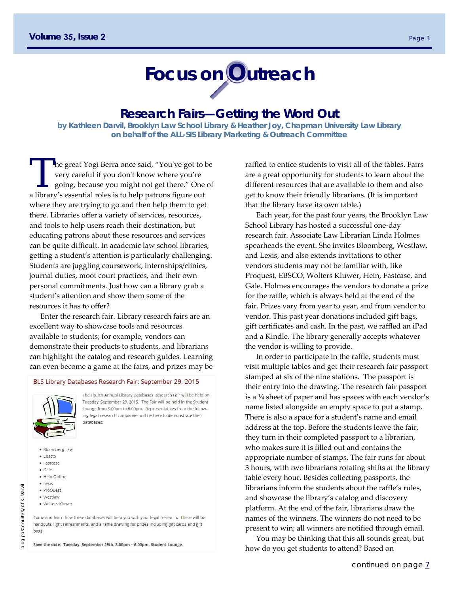# **Focus on Outreach**

# **Research Fairs—Getting the Word Out**

**by Kathleen Darvil, Brooklyn Law School Library & Heather Joy, Chapman University Law Library on behalf of the ALL-SIS Library Marketing & Outreach Committee** 

The great Yogi Berra once said, "You've got to be very careful if you don't know where you're going, because you might not get there." One of a library's essential roles is to help patrons figure out where they are trying to go and then help them to get there. Libraries offer a variety of services, resources, and tools to help users reach their destination, but educating patrons about these resources and services can be quite difficult. In academic law school libraries, getting a student's attention is particularly challenging. Students are juggling coursework, internships/clinics, journal duties, moot court practices, and their own personal commitments. Just how can a library grab a student's attention and show them some of the resources it has to offer?

Enter the research fair. Library research fairs are an excellent way to showcase tools and resources available to students; for example, vendors can demonstrate their products to students, and librarians can highlight the catalog and research guides. Learning can even become a game at the fairs, and prizes may be

#### BLS Library Databases Research Fair: September 29, 2015



The Fourth Annual Library Databases Research Fair will be held on Tuesday, September 29, 2015. The Fair will be held in the Student Lounge from 3:00pm to 6:00pm. Representatives from the following legal research companies will be here to demonstrate their databases:

- · Bloomberg Law
- · Ebscto
- · Fastcase
- · Gale
- · Hein Online
- · Lexis
- · ProQuest
- · Westlaw
- · Wolters Kluwer

Come and learn how these databases will help you with your legal research. There will be handouts, light refreshments, and a raffle drawing for prizes including gift cards and gift bags.

Save the date: Tuesday, September 29th, 3:00pm - 6:00pm, Student Lounge.

raffled to entice students to visit all of the tables. Fairs are a great opportunity for students to learn about the different resources that are available to them and also get to know their friendly librarians. (It is important that the library have its own table.)

Each year, for the past four years, the Brooklyn Law School Library has hosted a successful one‐day research fair. Associate Law Librarian Linda Holmes spearheads the event. She invites Bloomberg, Westlaw, and Lexis, and also extends invitations to other vendors students may not be familiar with, like Proquest, EBSCO, Wolters Kluwer, Hein, Fastcase, and Gale. Holmes encourages the vendors to donate a prize for the raffle, which is always held at the end of the fair. Prizes vary from year to year, and from vendor to vendor. This past year donations included gift bags, gift certificates and cash. In the past, we raffled an iPad and a Kindle. The library generally accepts whatever the vendor is willing to provide.

In order to participate in the raffle, students must visit multiple tables and get their research fair passport stamped at six of the nine stations. The passport is their entry into the drawing. The research fair passport is a ¼ sheet of paper and has spaces with each vendor's name listed alongside an empty space to put a stamp. There is also a space for a student's name and email address at the top. Before the students leave the fair, they turn in their completed passport to a librarian, who makes sure it is filled out and contains the appropriate number of stamps. The fair runs for about 3 hours, with two librarians rotating shifts at the library table every hour. Besides collecting passports, the librarians inform the students about the raffle's rules, and showcase the library's catalog and discovery platform. At the end of the fair, librarians draw the names of the winners. The winners do not need to be present to win; all winners are notified through email.

You may be thinking that this all sounds great, but how do you get students to attend? Based on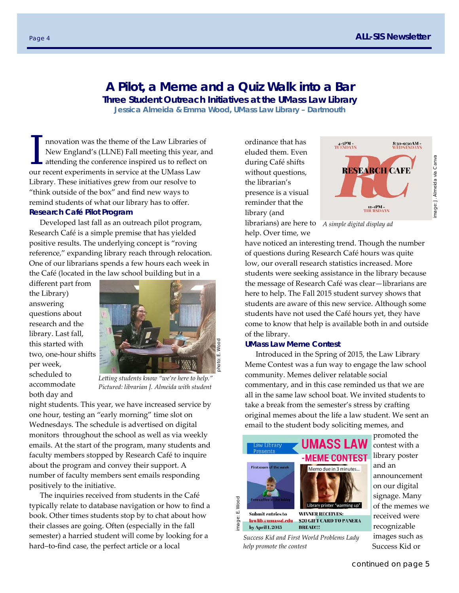# **A Pilot, a Meme and a Quiz Walk into a Bar**

**Three Student Outreach Initiatives at the UMass Law Library** 

**Jessica Almeida & Emma Wood, UMass Law Library – Dartmouth** 

I nnovation was the theme of the Law Libraries of<br>New England's (LLNE) Fall meeting this year, an<br>attending the conference inspired us to reflect on<br>aux recent experiments in service at the UMses Law New England's (LLNE) Fall meeting this year, and attending the conference inspired us to reflect on our recent experiments in service at the UMass Law Library. These initiatives grew from our resolve to "think outside of the box" and find new ways to remind students of what our library has to offer. **Research Café Pilot Program** 

Developed last fall as an outreach pilot program, Research Café is a simple premise that has yielded positive results. The underlying concept is "roving reference," expanding library reach through relocation. One of our librarians spends a few hours each week in the Café (located in the law school building but in a

different part from the Library) answering questions about research and the library. Last fall, this started with two, one‐hour shifts per week, scheduled to accommodate both day and

photo: E. Wood

*Letting students know "we're here to help." Pictured: librarian J. Almeida with student* 

night students. This year, we have increased service by one hour, testing an "early morning" time slot on Wednesdays. The schedule is advertised on digital monitors throughout the school as well as via weekly emails. At the start of the program, many students and faculty members stopped by Research Café to inquire about the program and convey their support. A number of faculty members sent emails responding positively to the initiative.

The inquiries received from students in the Café typically relate to database navigation or how to find a book. Other times students stop by to chat about how their classes are going. Often (especially in the fall semester) a harried student will come by looking for a hard–to‐find case, the perfect article or a local

ordinance that has eluded them. Even during Café shifts without questions, the librarian's presence is a visual reminder that the library (and



librarians) are here to *A simple digital display ad* help. Over time, we

have noticed an interesting trend. Though the number of questions during Research Café hours was quite low, our overall research statistics increased. More students were seeking assistance in the library because the message of Research Café was clear—librarians are here to help. The Fall 2015 student survey shows that students are aware of this new service. Although some students have not used the Café hours yet, they have come to know that help is available both in and outside of the library.

#### **UMass Law Meme Contest**

Introduced in the Spring of 2015, the Law Library Meme Contest was a fun way to engage the law school community. Memes deliver relatable social commentary, and in this case reminded us that we are all in the same law school boat. We invited students to take a break from the semester's stress by crafting original memes about the life a law student. We sent an email to the student body soliciting memes, and



*Success Kid and First World Problems Lady help promote the contest* 

promoted the contest with a library poster and an announcement on our digital signage. Many of the memes we received were recognizable images such as Success Kid or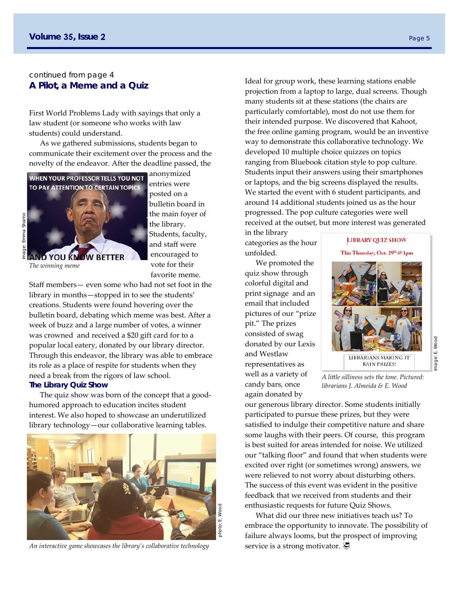# continued from page 4 **A Pilot, a Meme and a Quiz**

First World Problems Lady with sayings that only a law student (or someone who works with law students) could understand.

As we gathered submissions, students began to communicate their excitement over the process and the novelty of the endeavor. After the deadline passed, the



anonymized entries were posted on a bulletin board in the main foyer of the library. Students, faculty, and staff were encouraged to vote for their favorite meme.

*The winning meme* 

Staff members— even some who had not set foot in the library in months—stopped in to see the students' creations. Students were found hovering over the bulletin board, debating which meme was best. After a week of buzz and a large number of votes, a winner was crowned and received a \$20 gift card for to a popular local eatery, donated by our library director. Through this endeavor, the library was able to embrace its role as a place of respite for students when they need a break from the rigors of law school. **The Library Quiz Show** 

The quiz show was born of the concept that a good‐ humored approach to education incites student interest. We also hoped to showcase an underutilized library technology—our collaborative learning tables.



*An interactive game showcases the library's collaborative technology* 

Ideal for group work, these learning stations enable projection from a laptop to large, dual screens. Though many students sit at these stations (the chairs are particularly comfortable), most do not use them for their intended purpose. We discovered that Kahoot, the free online gaming program, would be an inventive way to demonstrate this collaborative technology. We developed 10 multiple choice quizzes on topics ranging from Bluebook citation style to pop culture. Students input their answers using their smartphones or laptops, and the big screens displayed the results. We started the event with 6 student participants, and around 14 additional students joined us as the hour progressed. The pop culture categories were well received at the outset, but more interest was generated

in the library categories as the hour unfolded.

We promoted the quiz show through colorful digital and print signage and an email that included pictures of our "prize pit." The prizes consisted of swag donated by our Lexis and Westlaw representatives as well as a variety of candy bars, once again donated by

# **LIBRARY QUIZ SHOW**

This Thursday, Oct. 29th @ 1pm



image: E. Wood mage: E.

Wood

*A little silliness sets the tone. Pictured: librarians J. Almeida & E. Wood* 

our generous library director. Some students initially participated to pursue these prizes, but they were satisfied to indulge their competitive nature and share some laughs with their peers. Of course, this program is best suited for areas intended for noise. We utilized our "talking floor" and found that when students were excited over right (or sometimes wrong) answers, we were relieved to not worry about disturbing others. The success of this event was evident in the positive feedback that we received from students and their enthusiastic requests for future Quiz Shows.

What did our three new initiatives teach us? To embrace the opportunity to innovate. The possibility of failure always looms, but the prospect of improving service is a strong motivator.  $\overline{\mathcal{P}}$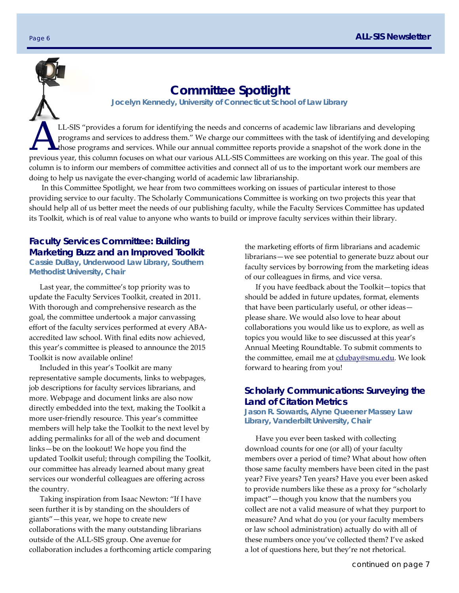

# **Committee Spotlight**

**Jocelyn Kennedy, University of Connecticut School of Law Library** 

LL-SIS "provides a forum for identifying the needs and concerns of academic law librarians and developing<br>programs and services to address them." We charge our committees with the task of identifying and develop<br>those prog programs and services to address them." We charge our committees with the task of identifying and developing If those programs and services. While our annual committee reports provide a snapshot of the work done in the previous year, this column focuses on what our various ALL‐SIS Committees are working on this year. The goal of this column is to inform our members of committee activities and connect all of us to the important work our members are doing to help us navigate the ever‐changing world of academic law librarianship.

 In this Committee Spotlight, we hear from two committees working on issues of particular interest to those providing service to our faculty. The Scholarly Communications Committee is working on two projects this year that should help all of us better meet the needs of our publishing faculty, while the Faculty Services Committee has updated its Toolkit, which is of real value to anyone who wants to build or improve faculty services within their library.

# **Faculty Services Committee: Building Marketing Buzz and an Improved Toolkit**

**Cassie DuBay, Underwood Law Library, Southern Methodist University, Chair** 

Last year, the committee's top priority was to update the Faculty Services Toolkit, created in 2011. With thorough and comprehensive research as the goal, the committee undertook a major canvassing effort of the faculty services performed at every ABA‐ accredited law school. With final edits now achieved, this year's committee is pleased to announce the 2015 Toolkit is now available online!

Included in this year's Toolkit are many representative sample documents, links to webpages, job descriptions for faculty services librarians, and more. Webpage and document links are also now directly embedded into the text, making the Toolkit a more user‐friendly resource. This year's committee members will help take the Toolkit to the next level by adding permalinks for all of the web and document links—be on the lookout! We hope you find the updated Toolkit useful; through compiling the Toolkit, our committee has already learned about many great services our wonderful colleagues are offering across the country.

Taking inspiration from Isaac Newton: "If I have seen further it is by standing on the shoulders of giants"—this year, we hope to create new collaborations with the many outstanding librarians outside of the ALL‐SIS group. One avenue for collaboration includes a forthcoming article comparing the marketing efforts of firm librarians and academic librarians—we see potential to generate buzz about our faculty services by borrowing from the marketing ideas of our colleagues in firms, and vice versa.

If you have feedback about the Toolkit—topics that should be added in future updates, format, elements that have been particularly useful, or other ideas please share. We would also love to hear about collaborations you would like us to explore, as well as topics you would like to see discussed at this year's Annual Meeting Roundtable. To submit comments to the committee, email me at cdubay@smu.edu. We look forward to hearing from you!

# **Scholarly Communications: Surveying the Land of Citation Metrics**

**Jason R. Sowards, Alyne Queener Massey Law Library, Vanderbilt University, Chair**

Have you ever been tasked with collecting download counts for one (or all) of your faculty members over a period of time? What about how often those same faculty members have been cited in the past year? Five years? Ten years? Have you ever been asked to provide numbers like these as a proxy for "scholarly impact"—though you know that the numbers you collect are not a valid measure of what they purport to measure? And what do you (or your faculty members or law school administration) actually do with all of these numbers once you've collected them? I've asked a lot of questions here, but they're not rhetorical.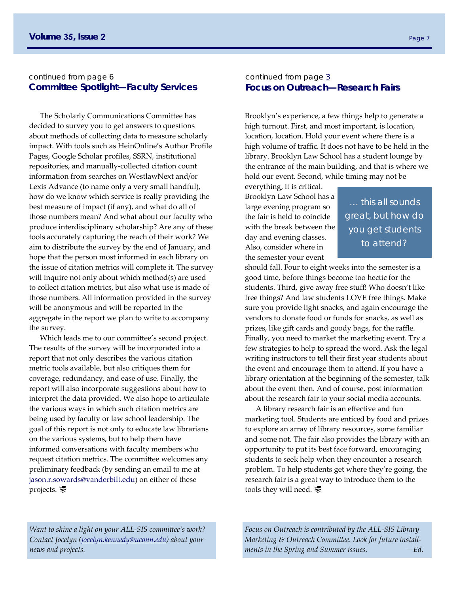#### continued from page 6 **Committee Spotlight—Faculty Services**

The Scholarly Communications Committee has decided to survey you to get answers to questions about methods of collecting data to measure scholarly impact. With tools such as HeinOnline's Author Profile Pages, Google Scholar profiles, SSRN, institutional repositories, and manually‐collected citation count information from searches on WestlawNext and/or Lexis Advance (to name only a very small handful), how do we know which service is really providing the best measure of impact (if any), and what do all of those numbers mean? And what about our faculty who produce interdisciplinary scholarship? Are any of these tools accurately capturing the reach of their work? We aim to distribute the survey by the end of January, and hope that the person most informed in each library on the issue of citation metrics will complete it. The survey will inquire not only about which method(s) are used to collect citation metrics, but also what use is made of those numbers. All information provided in the survey will be anonymous and will be reported in the aggregate in the report we plan to write to accompany the survey.

Which leads me to our committee's second project. The results of the survey will be incorporated into a report that not only describes the various citation metric tools available, but also critiques them for coverage, redundancy, and ease of use. Finally, the report will also incorporate suggestions about how to interpret the data provided. We also hope to articulate the various ways in which such citation metrics are being used by faculty or law school leadership. The goal of this report is not only to educate law librarians on the various systems, but to help them have informed conversations with faculty members who request citation metrics. The committee welcomes any preliminary feedback (by sending an email to me at jason.r.sowards@vanderbilt.edu) on either of these projects.

#### continued from page  $3$ **Focus on Outreach—Research Fairs**

Brooklyn's experience, a few things help to generate a high turnout. First, and most important, is location, location, location. Hold your event where there is a high volume of traffic. It does not have to be held in the library. Brooklyn Law School has a student lounge by the entrance of the main building, and that is where we hold our event. Second, while timing may not be

everything, it is critical. Brooklyn Law School has a large evening program so the fair is held to coincide with the break between the day and evening classes. Also, consider where in the semester your event

… this all sounds great, but how do you get students to attend?

should fall. Four to eight weeks into the semester is a good time, before things become too hectic for the students. Third, give away free stuff! Who doesn't like free things? And law students LOVE free things. Make sure you provide light snacks, and again encourage the vendors to donate food or funds for snacks, as well as prizes, like gift cards and goody bags, for the raffle. Finally, you need to market the marketing event. Try a few strategies to help to spread the word. Ask the legal writing instructors to tell their first year students about the event and encourage them to attend. If you have a library orientation at the beginning of the semester, talk about the event then. And of course, post information about the research fair to your social media accounts.

A library research fair is an effective and fun marketing tool. Students are enticed by food and prizes to explore an array of library resources, some familiar and some not. The fair also provides the library with an opportunity to put its best face forward, encouraging students to seek help when they encounter a research problem. To help students get where they're going, the research fair is a great way to introduce them to the tools they will need.  $\mathcal{D}$ 

*Want to shine a light on your ALL‐SIS committee's work? Contact Jocelyn (jocelyn.kennedy@uconn.edu) about your news and projects.*

*Focus on Outreach is contributed by the ALL‐SIS Library Marketing & Outreach Committee. Look for future install‐ ments in the Spring and Summer issues. —Ed.*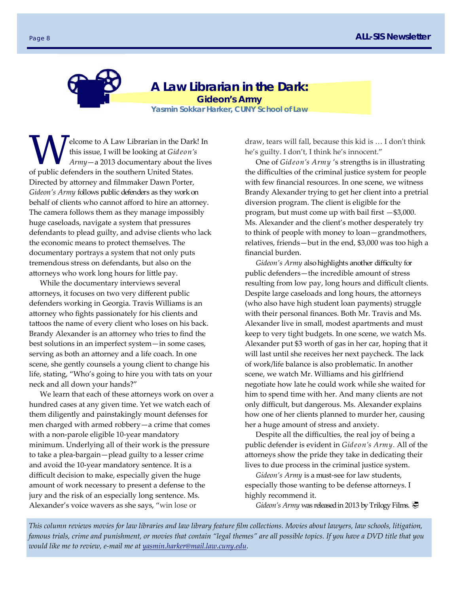**A Law Librarian in the Dark:**  *Gideon's Army* 

**Yasmin Sokkar Harker, CUNY School of Law** 

Elcome to A Law Librarian in the Dark! In<br>this issue, I will be looking at *Gideon's*<br>Army—a 2013 documentary about the lives this issue, I will be looking at *Gideon's Army*—a 2013 documentary about the lives of public defenders in the southern United States. Directed by attorney and filmmaker Dawn Porter, *Gideon's Army* follows public defenders as they work on behalf of clients who cannot afford to hire an attorney. The camera follows them as they manage impossibly huge caseloads, navigate a system that pressures defendants to plead guilty, and advise clients who lack the economic means to protect themselves. The documentary portrays a system that not only puts tremendous stress on defendants, but also on the attorneys who work long hours for little pay.

While the documentary interviews several attorneys, it focuses on two very different public defenders working in Georgia. Travis Williams is an attorney who fights passionately for his clients and tattoos the name of every client who loses on his back. Brandy Alexander is an attorney who tries to find the best solutions in an imperfect system—in some cases, serving as both an attorney and a life coach. In one scene, she gently counsels a young client to change his life, stating, "Who's going to hire you with tats on your neck and all down your hands?"

We learn that each of these attorneys work on over a hundred cases at any given time. Yet we watch each of them diligently and painstakingly mount defenses for men charged with armed robbery—a crime that comes with a non‐parole eligible 10‐year mandatory minimum. Underlying all of their work is the pressure to take a plea‐bargain—plead guilty to a lesser crime and avoid the 10‐year mandatory sentence. It is a difficult decision to make, especially given the huge amount of work necessary to present a defense to the jury and the risk of an especially long sentence. Ms. Alexander's voice wavers as she says, "win lose or

draw, tears will fall, because this kid is ... I don't think he's guilty. I don't, I think he's innocent."

One of *Gideon's Army* 's strengths is in illustrating the difficulties of the criminal justice system for people with few financial resources. In one scene, we witness Brandy Alexander trying to get her client into a pretrial diversion program. The client is eligible for the program, but must come up with bail first —\$3,000. Ms. Alexander and the client's mother desperately try to think of people with money to loan—grandmothers, relatives, friends—but in the end, \$3,000 was too high a financial burden.

*Gideon's Army* also highlights another difficulty for public defenders—the incredible amount of stress resulting from low pay, long hours and difficult clients. Despite large caseloads and long hours, the attorneys (who also have high student loan payments) struggle with their personal finances. Both Mr. Travis and Ms. Alexander live in small, modest apartments and must keep to very tight budgets. In one scene, we watch Ms. Alexander put \$3 worth of gas in her car, hoping that it will last until she receives her next paycheck. The lack of work/life balance is also problematic. In another scene, we watch Mr. Williams and his girlfriend negotiate how late he could work while she waited for him to spend time with her. And many clients are not only difficult, but dangerous. Ms. Alexander explains how one of her clients planned to murder her, causing her a huge amount of stress and anxiety.

Despite all the difficulties, the real joy of being a public defender is evident in *Gideon's Army.* All of the attorneys show the pride they take in dedicating their lives to due process in the criminal justice system.

*Gideon's Army* is a must‐see for law students, especially those wanting to be defense attorneys. I highly recommend it.

*Gideon's Army* was released in 2013 by Trilogy Films.

*This column reviews movies for law libraries and law library feature film collections. Movies about lawyers, law schools, litigation, famous trials, crime and punishment, or movies that contain "legal themes" are all possible topics. If you have a DVD title that you would like me to review, e‐mail me at yasmin.harker@mail.law.cuny.edu.*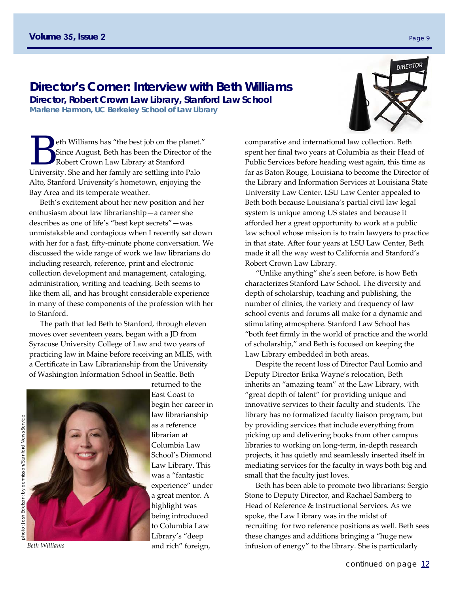# **Director's Corner: Interview with Beth Williams**

**Director, Robert Crown Law Library, Stanford Law School Marlene Harmon, UC Berkeley School of Law Library** 

eth Williams has "the best job on the planet."<br>Since August, Beth has been the Director of the Robert Crown Law Library at Stanford Since August, Beth has been the Director of the Robert Crown Law Library at Stanford University. She and her family are settling into Palo Alto, Stanford University's hometown, enjoying the Bay Area and its temperate weather.

Beth's excitement about her new position and her enthusiasm about law librarianship—a career she describes as one of life's "best kept secrets"—was unmistakable and contagious when I recently sat down with her for a fast, fifty‐minute phone conversation. We discussed the wide range of work we law librarians do including research, reference, print and electronic collection development and management, cataloging, administration, writing and teaching. Beth seems to like them all, and has brought considerable experience in many of these components of the profession with her to Stanford.

The path that led Beth to Stanford, through eleven moves over seventeen years, began with a JD from Syracuse University College of Law and two years of practicing law in Maine before receiving an MLIS, with a Certificate in Law Librarianship from the University of Washington Information School in Seattle. Beth



*Beth Williams* 

returned to the East Coast to begin her career in law librarianship as a reference librarian at Columbia Law School's Diamond Law Library. This was a "fantastic experience" under a great mentor. A highlight was being introduced to Columbia Law Library's "deep and rich" foreign,

comparative and international law collection. Beth spent her final two years at Columbia as their Head of Public Services before heading west again, this time as far as Baton Rouge, Louisiana to become the Director of the Library and Information Services at Louisiana State University Law Center. LSU Law Center appealed to Beth both because Louisiana's partial civil law legal system is unique among US states and because it afforded her a great opportunity to work at a public law school whose mission is to train lawyers to practice in that state. After four years at LSU Law Center, Beth made it all the way west to California and Stanford's Robert Crown Law Library.

"Unlike anything" she's seen before, is how Beth characterizes Stanford Law School. The diversity and depth of scholarship, teaching and publishing, the number of clinics, the variety and frequency of law school events and forums all make for a dynamic and stimulating atmosphere. Stanford Law School has "both feet firmly in the world of practice and the world of scholarship," and Beth is focused on keeping the Law Library embedded in both areas.

Despite the recent loss of Director Paul Lomio and Deputy Director Erika Wayne's relocation, Beth inherits an "amazing team" at the Law Library, with "great depth of talent" for providing unique and innovative services to their faculty and students. The library has no formalized faculty liaison program, but by providing services that include everything from picking up and delivering books from other campus libraries to working on long‐term, in‐depth research projects, it has quietly and seamlessly inserted itself in mediating services for the faculty in ways both big and small that the faculty just loves.

Beth has been able to promote two librarians: Sergio Stone to Deputy Director, and Rachael Samberg to Head of Reference & Instructional Services. As we spoke, the Law Library was in the midst of recruiting for two reference positions as well. Beth sees these changes and additions bringing a "huge new infusion of energy" to the library. She is particularly

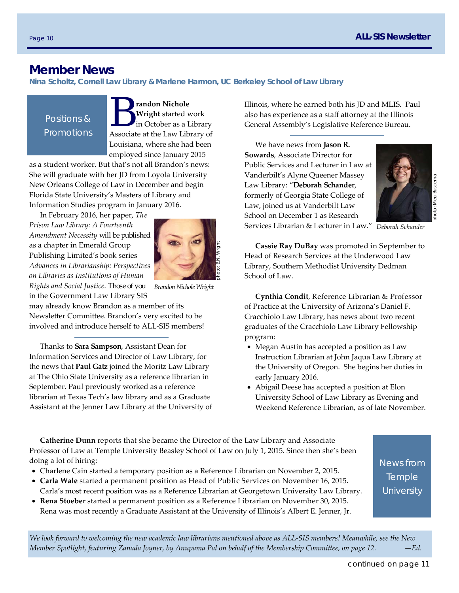# **Member News**

**Nina Scholtz, Cornell Law Library & Marlene Harmon, UC Berkeley School of Law Library** 

Positions & Promotions



as a student worker. But that's not all Brandon's news: She will graduate with her JD from Loyola University New Orleans College of Law in December and begin Florida State University's Masters of Library and Information Studies program in January 2016.

In February 2016, her paper, *The Prison Law Library: A Fourteenth Amendment Necessity* will be published as a chapter in Emerald Group Publishing Limited's book series *Advances in Librarianship: Perspectives on Libraries as Institutions of Human Rights and Social Justice*. Those of you in the Government Law Library SIS



*Brandon Nichole Wright* 

may already know Brandon as a member of its Newsletter Committee. Brandon's very excited to be involved and introduce herself to ALL‐SIS members!

Thanks to **Sara Sampson**, Assistant Dean for Information Services and Director of Law Library, for the news that **Paul Gatz** joined the Moritz Law Library at The Ohio State University as a reference librarian in September. Paul previously worked as a reference librarian at Texas Tech's law library and as a Graduate Assistant at the Jenner Law Library at the University of Illinois, where he earned both his JD and MLIS. Paul also has experience as a staff attorney at the Illinois General Assembly's Legislative Reference Bureau.

We have news from **Jason R. Sowards**, Associate Director for Public Services and Lecturer in Law at Vanderbilt's Alyne Queener Massey Law Library: "**Deborah Schander**, formerly of Georgia State College of Law, joined us at Vanderbilt Law School on December 1 as Research Services Librarian & Lecturer in Law."



photo: Meg Buscema

*Deborah Schander* 

**Cassie Ray DuBay** was promoted in September to Head of Research Services at the Underwood Law Library, Southern Methodist University Dedman School of Law.

**Cynthia Condit**, Reference Librarian & Professor of Practice at the University of Arizona's Daniel F. Cracchiolo Law Library, has news about two recent graduates of the Cracchiolo Law Library Fellowship program:

- Megan Austin has accepted a position as Law Instruction Librarian at John Jaqua Law Library at the University of Oregon. She begins her duties in early January 2016.
- Abigail Deese has accepted a position at Elon University School of Law Library as Evening and Weekend Reference Librarian, as of late November.

**Catherine Dunn** reports that she became the Director of the Law Library and Associate Professor of Law at Temple University Beasley School of Law on July 1, 2015. Since then she's been doing a lot of hiring:

- Charlene Cain started a temporary position as a Reference Librarian on November 2, 2015.
- **Carla Wale** started a permanent position as Head of Public Services on November 16, 2015. Carla's most recent position was as a Reference Librarian at Georgetown University Law Library.
- **Rena Stoeber** started a permanent position as a Reference Librarian on November 30, 2015. Rena was most recently a Graduate Assistant at the University of Illinois's Albert E. Jenner, Jr.

News from **Temple University** 

*We look forward to welcoming the new academic law librarians mentioned above as ALL‐SIS members! Meanwhile, see the New Member Spotlight, featuring Zanada Joyner, by Anupama Pal on behalf of the Membership Committee, on page 12.*  $-Ed$ .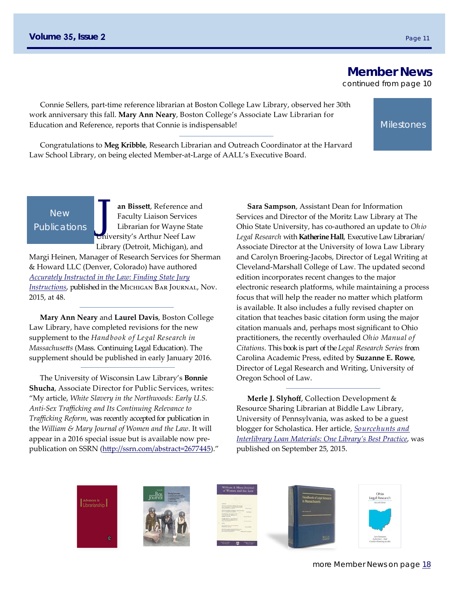**Member News** 

**Milestones** 

continued from page 10

Connie Sellers, part‐time reference librarian at Boston College Law Library, observed her 30th work anniversary this fall. **Mary Ann Neary**, Boston College's Associate Law Librarian for Education and Reference, reports that Connie is indispensable!

Congratulations to **Meg Kribble**, Research Librarian and Outreach Coordinator at the Harvard Law School Library, on being elected Member‐at‐Large of AALL's Executive Board.

# New **Publications**

**Jan Bissett**, Reference and<br>
Faculty Liaison Services<br>
Librarian for Wayne State Faculty Liaison Services University's Arthur Neef Law Library (Detroit, Michigan), and

Margi Heinen, Manager of Research Services for Sherman & Howard LLC (Denver, Colorado) have authored *Accurately Instructed in the Law: Finding State Jury Instructions*, published in the Michigan Bar Journal, Nov. 2015, at 48.

**Mary Ann Neary** and **Laurel Davis**, Boston College Law Library, have completed revisions for the new supplement to the *Handbook of Legal Research in Massachusetts* (Mass. Continuing Legal Education). The supplement should be published in early January 2016.

The University of Wisconsin Law Library's **Bonnie Shucha**, Associate Director for Public Services, writes: "My article, *White Slavery in the Northwoods: Early U.S. Anti‐Sex Trafficking and Its Continuing Relevance to Trafficking Reform*, was recently accepted for publication in the *William & Mary Journal of Women and the Law*. It will appear in a 2016 special issue but is available now pre‐ publication on SSRN (http://ssrn.com/abstract=2677445)."

**Sara Sampson**, Assistant Dean for Information Services and Director of the Moritz Law Library at The Ohio State University, has co‐authored an update to *Ohio Legal Research* with **Katherine Hall**, Executive Law Librarian/ Associate Director at the University of Iowa Law Library and Carolyn Broering‐Jacobs, Director of Legal Writing at Cleveland‐Marshall College of Law. The updated second edition incorporates recent changes to the major electronic research platforms, while maintaining a process focus that will help the reader no matter which platform is available. It also includes a fully revised chapter on citation that teaches basic citation form using the major citation manuals and, perhaps most significant to Ohio practitioners, the recently overhauled *Ohio Manual of Citations*. This book is part of the *Legal Research Series* from Carolina Academic Press, edited by **Suzanne E. Rowe**, Director of Legal Research and Writing, University of Oregon School of Law.

**Merle J. Slyhoff**, Collection Development & Resource Sharing Librarian at Biddle Law Library, University of Pennsylvania, was asked to be a guest blogger for Scholastica. Her article, *Sourcehunts and Interlibrary Loan Materials: One Library's Best Practice*, was published on September 25, 2015.









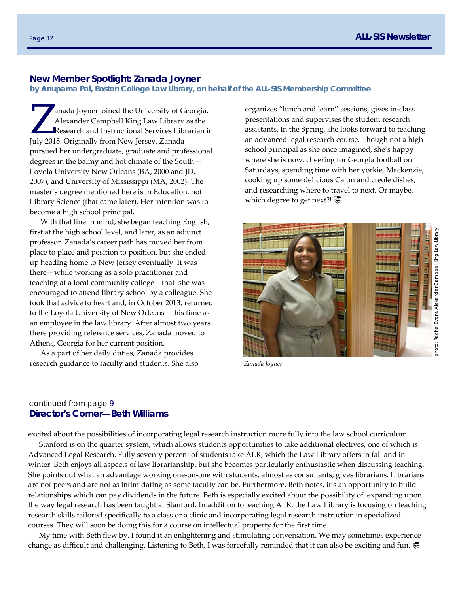#### **New Member Spotlight: Zanada Joyner**

**by Anupama Pal, Boston College Law Library, on behalf of the ALL-SIS Membership Committee** 

anada Joyner joined the University of Georgia,<br>Alexander Campbell King Law Library as the<br>Research and Instructional Services Librarian in Alexander Campbell King Law Library as the July 2015. Originally from New Jersey, Zanada pursued her undergraduate, graduate and professional degrees in the balmy and hot climate of the South— Loyola University New Orleans (BA, 2000 and JD, 2007), and University of Mississippi (MA, 2002). The master's degree mentioned here is in Education, not Library Science (that came later). Her intention was to become a high school principal.

With that line in mind, she began teaching English, first at the high school level, and later, as an adjunct professor. Zanada's career path has moved her from place to place and position to position, but she ended up heading home to New Jersey eventually. It was there—while working as a solo practitioner and teaching at a local community college—that she was encouraged to attend library school by a colleague. She took that advice to heart and, in October 2013, returned to the Loyola University of New Orleans—this time as an employee in the law library. After almost two years there providing reference services, Zanada moved to Athens, Georgia for her current position.

As a part of her daily duties, Zanada provides research guidance to faculty and students. She also organizes "lunch and learn" sessions, gives in‐class presentations and supervises the student research assistants. In the Spring, she looks forward to teaching an advanced legal research course. Though not a high school principal as she once imagined, she's happy where she is now, cheering for Georgia football on Saturdays, spending time with her yorkie, Mackenzie, cooking up some delicious Cajun and creole dishes, and researching where to travel to next. Or maybe, which degree to get next?! **₹** 



*Zanada Joyner* 

# continued from page  $9$ **Director's Corner—Beth Williams**

excited about the possibilities of incorporating legal research instruction more fully into the law school curriculum.

Stanford is on the quarter system, which allows students opportunities to take additional electives, one of which is Advanced Legal Research. Fully seventy percent of students take ALR, which the Law Library offers in fall and in winter. Beth enjoys all aspects of law librarianship, but she becomes particularly enthusiastic when discussing teaching. She points out what an advantage working one-on-one with students, almost as consultants, gives librarians. Librarians are not peers and are not as intimidating as some faculty can be. Furthermore, Beth notes, it's an opportunity to build relationships which can pay dividends in the future. Beth is especially excited about the possibility of expanding upon the way legal research has been taught at Stanford. In addition to teaching ALR, the Law Library is focusing on teaching research skills tailored specifically to a class or a clinic and incorporating legal research instruction in specialized courses. They will soon be doing this for a course on intellectual property for the first time.

My time with Beth flew by. I found it an enlightening and stimulating conversation. We may sometimes experience change as difficult and challenging. Listening to Beth, I was forcefully reminded that it can also be exciting and fun.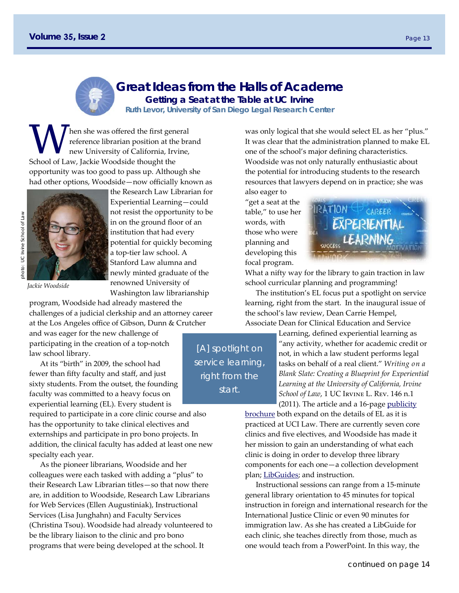

# **Great Ideas from the Halls of Academe Getting a Seat at the Table at UC Irvine**

**Ruth Levor, University of San Diego Legal Research Center** 

hen she was offered the first general reference librarian position at the brand new University of California, Irvine, School of Law, Jackie Woodside thought the opportunity was too good to pass up. Although she had other options, Woodside—now officially known as



*Jackie Woodside* 

program, Woodside had already mastered the challenges of a judicial clerkship and an attorney career at the Los Angeles office of Gibson, Dunn & Crutcher

Washington law librarianship

and was eager for the new challenge of participating in the creation of a top‐notch law school library.

At its "birth" in 2009, the school had fewer than fifty faculty and staff, and just sixty students. From the outset, the founding faculty was committed to a heavy focus on experiential learning (EL). Every student is

required to participate in a core clinic course and also has the opportunity to take clinical electives and externships and participate in pro bono projects. In addition, the clinical faculty has added at least one new specialty each year.

As the pioneer librarians, Woodside and her colleagues were each tasked with adding a "plus" to their Research Law Librarian titles—so that now there are, in addition to Woodside, Research Law Librarians for Web Services (Ellen Augustiniak), Instructional Services (Lisa Junghahn) and Faculty Services (Christina Tsou). Woodside had already volunteered to be the library liaison to the clinic and pro bono programs that were being developed at the school. It

was only logical that she would select EL as her "plus." It was clear that the administration planned to make EL one of the school's major defining characteristics. Woodside was not only naturally enthusiastic about the potential for introducing students to the research resources that lawyers depend on in practice; she was

also eager to "get a seat at the table," to use her words, with those who were planning and developing this focal program.



What a nifty way for the library to gain traction in law school curricular planning and programming!

The institution's EL focus put a spotlight on service learning, right from the start. In the inaugural issue of the school's law review, Dean Carrie Hempel, Associate Dean for Clinical Education and Service

Learning, defined experiential learning as "any activity, whether for academic credit or not, in which a law student performs legal tasks on behalf of a real client." *Writing on a Blank Slate: Creating a Blueprint for Experiential Learning at the University of California, Irvine School of Law*, 1 UC Irvine L. Rev. 146 n.1 (2011). The article and a 16-page publicity

brochure both expand on the details of EL as it is practiced at UCI Law. There are currently seven core clinics and five electives, and Woodside has made it her mission to gain an understanding of what each clinic is doing in order to develop three library components for each one—a collection development plan; LibGuides; and instruction.

Instructional sessions can range from a 15‐minute general library orientation to 45 minutes for topical instruction in foreign and international research for the International Justice Clinic or even 90 minutes for immigration law. As she has created a LibGuide for each clinic, she teaches directly from those, much as one would teach from a PowerPoint. In this way, the

continued on page 14

[A] spotlight on service learning, right from the start.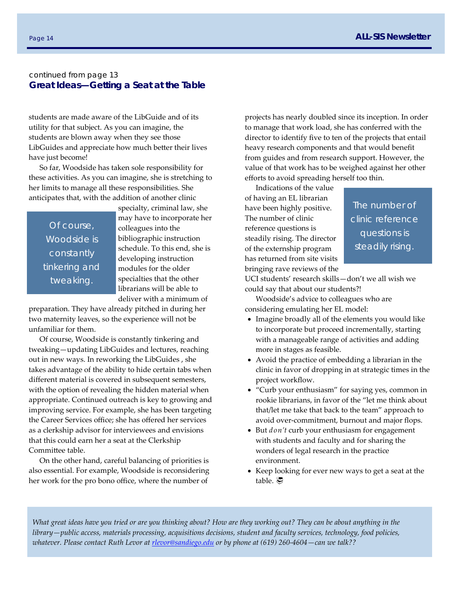# continued from page 13 **Great Ideas—Getting a Seat at the Table**

students are made aware of the LibGuide and of its utility for that subject. As you can imagine, the students are blown away when they see those LibGuides and appreciate how much better their lives have just become!

So far, Woodside has taken sole responsibility for these activities. As you can imagine, she is stretching to her limits to manage all these responsibilities. She anticipates that, with the addition of another clinic

Of course, Woodside is constantly tinkering and tweaking.

specialty, criminal law, she may have to incorporate her colleagues into the bibliographic instruction schedule. To this end, she is developing instruction modules for the older specialties that the other librarians will be able to deliver with a minimum of

preparation. They have already pitched in during her two maternity leaves, so the experience will not be unfamiliar for them.

Of course, Woodside is constantly tinkering and tweaking—updating LibGuides and lectures, reaching out in new ways. In reworking the LibGuides , she takes advantage of the ability to hide certain tabs when different material is covered in subsequent semesters, with the option of revealing the hidden material when appropriate. Continued outreach is key to growing and improving service. For example, she has been targeting the Career Services office; she has offered her services as a clerkship advisor for interviewees and envisions that this could earn her a seat at the Clerkship Committee table.

On the other hand, careful balancing of priorities is also essential. For example, Woodside is reconsidering her work for the pro bono office, where the number of

projects has nearly doubled since its inception. In order to manage that work load, she has conferred with the director to identify five to ten of the projects that entail heavy research components and that would benefit from guides and from research support. However, the value of that work has to be weighed against her other efforts to avoid spreading herself too thin.

Indications of the value of having an EL librarian have been highly positive. The number of clinic reference questions is steadily rising. The director of the externship program has returned from site visits bringing rave reviews of the

The number of clinic reference questions is steadily rising.

UCI students' research skills—don't we all wish we could say that about our students?!

Woodside's advice to colleagues who are considering emulating her EL model:

- Imagine broadly all of the elements you would like to incorporate but proceed incrementally, starting with a manageable range of activities and adding more in stages as feasible.
- Avoid the practice of embedding a librarian in the clinic in favor of dropping in at strategic times in the project workflow.
- "Curb your enthusiasm" for saying yes, common in rookie librarians, in favor of the "let me think about that/let me take that back to the team" approach to avoid over‐commitment, burnout and major flops.
- But *don't* curb your enthusiasm for engagement with students and faculty and for sharing the wonders of legal research in the practice environment.
- Keep looking for ever new ways to get a seat at the table.

*What great ideas have you tried or are you thinking about? How are they working out? They can be about anything in the library—public access, materials processing, acquisitions decisions, student and faculty services, technology, food policies, whatever. Please contact Ruth Levor at rlevor@sandiego.edu or by phone at (619) 260‐4604—can we talk??*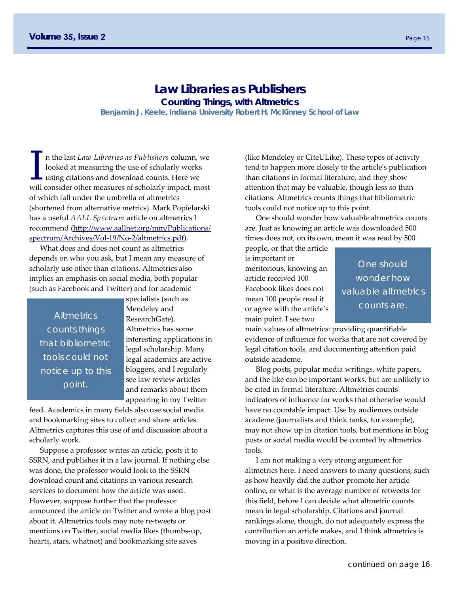# **Law Libraries as Publishers Counting Things, with Altmetrics**

**Benjamin J. Keele, Indiana University Robert H. McKinney School of Law** 

I n the last *Law Libraries as Publishers* column, we looked at measuring the use of scholarly works using citations and download counts. Here we will consider then measure of scholarly impact most looked at measuring the use of scholarly works will consider other measures of scholarly impact, most of which fall under the umbrella of altmetrics (shortened from alternative metrics). Mark Popielarski has a useful *AALL Spectrum* article on altmetrics I recommend (http://www.aallnet.org/mm/Publications/ spectrum/Archives/Vol‐19/No‐2/altmetrics.pdf).

What does and does not count as altmetrics depends on who you ask, but I mean any measure of scholarly use other than citations. Altmetrics also implies an emphasis on social media, both popular (such as Facebook and Twitter) and for academic

**Altmetrics** counts things that bibliometric tools could not notice up to this point.

specialists (such as Mendeley and ResearchGate). Altmetrics has some interesting applications in legal scholarship. Many legal academics are active bloggers, and I regularly see law review articles and remarks about them appearing in my Twitter

feed. Academics in many fields also use social media and bookmarking sites to collect and share articles. Altmetrics captures this use of and discussion about a scholarly work.

Suppose a professor writes an article, posts it to SSRN, and publishes it in a law journal. If nothing else was done, the professor would look to the SSRN download count and citations in various research services to document how the article was used. However, suppose further that the professor announced the article on Twitter and wrote a blog post about it. Altmetrics tools may note re‐tweets or mentions on Twitter, social media likes (thumbs‐up, hearts, stars, whatnot) and bookmarking site saves

(like Mendeley or CiteULike). These types of activity tend to happen more closely to the articleʹs publication than citations in formal literature, and they show attention that may be valuable, though less so than citations. Altmetrics counts things that bibliometric tools could not notice up to this point.

One should wonder how valuable altmetrics counts are. Just as knowing an article was downloaded 500 times does not, on its own, mean it was read by 500

people, or that the article is important or meritorious, knowing an article received 100 Facebook likes does not mean 100 people read it or agree with the articleʹs main point. I see two

One should wonder how valuable altmetrics counts are.

main values of altmetrics: providing quantifiable evidence of influence for works that are not covered by legal citation tools, and documenting attention paid outside academe.

Blog posts, popular media writings, white papers, and the like can be important works, but are unlikely to be cited in formal literature. Altmetrics counts indicators of influence for works that otherwise would have no countable impact. Use by audiences outside academe (journalists and think tanks, for example), may not show up in citation tools, but mentions in blog posts or social media would be counted by altmetrics tools.

I am not making a very strong argument for altmetrics here. I need answers to many questions, such as how heavily did the author promote her article online, or what is the average number of retweets for this field, before I can decide what altmetric counts mean in legal scholarship. Citations and journal rankings alone, though, do not adequately express the contribution an article makes, and I think altmetrics is moving in a positive direction.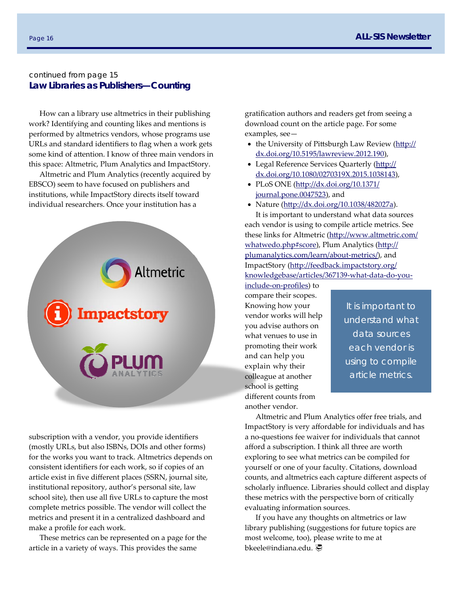### continued from page 15 **Law Libraries as Publishers—Counting**

How can a library use altmetrics in their publishing work? Identifying and counting likes and mentions is performed by altmetrics vendors, whose programs use URLs and standard identifiers to flag when a work gets some kind of attention. I know of three main vendors in this space: Altmetric, Plum Analytics and ImpactStory.

Altmetric and Plum Analytics (recently acquired by EBSCO) seem to have focused on publishers and institutions, while ImpactStory directs itself toward individual researchers. Once your institution has a



subscription with a vendor, you provide identifiers (mostly URLs, but also ISBNs, DOIs and other forms) for the works you want to track. Altmetrics depends on consistent identifiers for each work, so if copies of an article exist in five different places (SSRN, journal site, institutional repository, author's personal site, law school site), then use all five URLs to capture the most complete metrics possible. The vendor will collect the metrics and present it in a centralized dashboard and make a profile for each work.

These metrics can be represented on a page for the article in a variety of ways. This provides the same

gratification authors and readers get from seeing a download count on the article page. For some examples, see—

- the University of Pittsburgh Law Review (http:// dx.doi.org/10.5195/lawreview.2012.190),
- Legal Reference Services Quarterly (http:// dx.doi.org/10.1080/0270319X.2015.1038143),
- PLoS ONE (http://dx.doi.org/10.1371/ journal.pone.0047523), and
- Nature (http://dx.doi.org/10.1038/482027a).

It is important to understand what data sources each vendor is using to compile article metrics. See these links for Altmetric (http://www.altmetric.com/ whatwedo.php#score), Plum Analytics (http:// plumanalytics.com/learn/about-metrics/), and ImpactStory (http://feedback.impactstory.org/ knowledgebase/articles/367139‐what‐data‐do‐you‐

include‐on‐profiles) to compare their scopes. Knowing how your vendor works will help you advise authors on what venues to use in promoting their work and can help you explain why their colleague at another school is getting different counts from another vendor.

It is important to understand what data sources each vendor is using to compile article metrics.

Altmetric and Plum Analytics offer free trials, and ImpactStory is very affordable for individuals and has a no‐questions fee waiver for individuals that cannot afford a subscription. I think all three are worth exploring to see what metrics can be compiled for yourself or one of your faculty. Citations, download counts, and altmetrics each capture different aspects of scholarly influence. Libraries should collect and display these metrics with the perspective born of critically evaluating information sources.

If you have any thoughts on altmetrics or law library publishing (suggestions for future topics are most welcome, too), please write to me at bkeele@indiana.edu.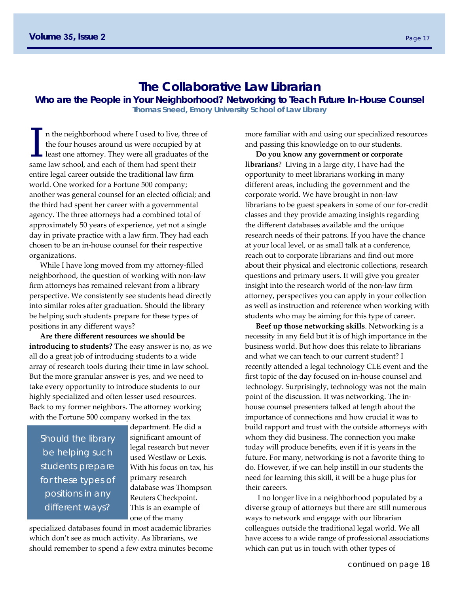# **The Collaborative Law Librarian**

**Who are the People in Your Neighborhood? Networking to Teach Future In-House Counsel** 

**Thomas Sneed, Emory University School of Law Library** 

I n the neighborhood where I used to live, three of the four houses around us were occupied by at least one attorney. They were all graduates of the same law school and each of them had enout their the four houses around us were occupied by at same law school, and each of them had spent their entire legal career outside the traditional law firm world. One worked for a Fortune 500 company; another was general counsel for an elected official; and the third had spent her career with a governmental agency. The three attorneys had a combined total of approximately 50 years of experience, yet not a single day in private practice with a law firm. They had each chosen to be an in‐house counsel for their respective organizations.

While I have long moved from my attorney‐filled neighborhood, the question of working with non‐law firm attorneys has remained relevant from a library perspective. We consistently see students head directly into similar roles after graduation. Should the library be helping such students prepare for these types of positions in any different ways?

**Are there different resources we should be introducing to students?** The easy answer is no, as we all do a great job of introducing students to a wide array of research tools during their time in law school. But the more granular answer is yes, and we need to take every opportunity to introduce students to our highly specialized and often lesser used resources. Back to my former neighbors. The attorney working with the Fortune 500 company worked in the tax

Should the library be helping such students prepare for these types of positions in any different ways?

department. He did a significant amount of legal research but never used Westlaw or Lexis. With his focus on tax, his primary research database was Thompson Reuters Checkpoint. This is an example of one of the many

specialized databases found in most academic libraries which don't see as much activity. As librarians, we should remember to spend a few extra minutes become more familiar with and using our specialized resources and passing this knowledge on to our students.

**Do you know any government or corporate librarians**? Living in a large city, I have had the opportunity to meet librarians working in many different areas, including the government and the corporate world. We have brought in non‐law librarians to be guest speakers in some of our for‐credit classes and they provide amazing insights regarding the different databases available and the unique research needs of their patrons. If you have the chance at your local level, or as small talk at a conference, reach out to corporate librarians and find out more about their physical and electronic collections, research questions and primary users. It will give you greater insight into the research world of the non‐law firm attorney, perspectives you can apply in your collection as well as instruction and reference when working with students who may be aiming for this type of career.

**Beef up those networking skills**. Networking is a necessity in any field but it is of high importance in the business world. But how does this relate to librarians and what we can teach to our current student? I recently attended a legal technology CLE event and the first topic of the day focused on in‐house counsel and technology. Surprisingly, technology was not the main point of the discussion. It was networking. The in‐ house counsel presenters talked at length about the importance of connections and how crucial it was to build rapport and trust with the outside attorneys with whom they did business. The connection you make today will produce benefits, even if it is years in the future. For many, networking is not a favorite thing to do. However, if we can help instill in our students the need for learning this skill, it will be a huge plus for their careers.

 I no longer live in a neighborhood populated by a diverse group of attorneys but there are still numerous ways to network and engage with our librarian colleagues outside the traditional legal world. We all have access to a wide range of professional associations which can put us in touch with other types of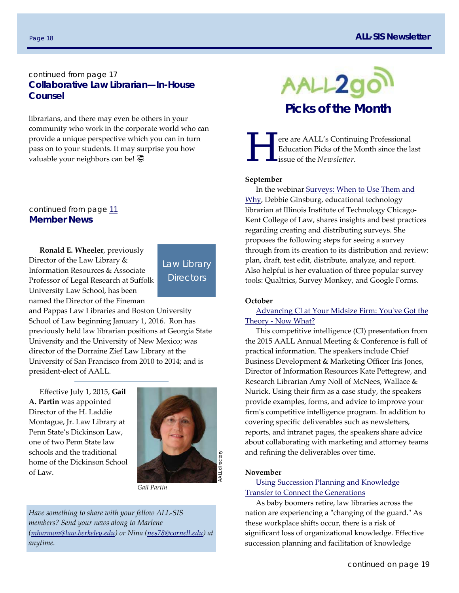# continued from page 17 **Collaborative Law Librarian—In-House Counsel**

librarians, and there may even be others in your community who work in the corporate world who can provide a unique perspective which you can in turn pass on to your students. It may surprise you how valuable your neighbors can be! <a>

### continued from page 11 **Member News**

**Ronald E. Wheeler**, previously Director of the Law Library & Information Resources & Associate Professor of Legal Research at Suffolk University Law School, has been named the Director of the Fineman



and Pappas Law Libraries and Boston University School of Law beginning January 1, 2016. Ron has previously held law librarian positions at Georgia State University and the University of New Mexico; was director of the Dorraine Zief Law Library at the University of San Francisco from 2010 to 2014; and is president‐elect of AALL.

Effective July 1, 2015, **Gail A. Partin** was appointed Director of the H. Laddie Montague, Jr. Law Library at Penn State's Dickinson Law, one of two Penn State law schools and the traditional home of the Dickinson School of Law.



*Gail Partin* 

*Have something to share with your fellow ALL‐SIS members? Send your news along to Marlene (mharmon@law.berkeley.edu) or Nina (nes78@cornell.edu) at anytime.*



ere are AALL's Continuing Professional Education Picks of the Month since the last issue of the *Newsletter*.

#### **September**

In the webinar Surveys: When to Use Them and Why, Debbie Ginsburg, educational technology librarian at Illinois Institute of Technology Chicago‐ Kent College of Law, shares insights and best practices regarding creating and distributing surveys. She proposes the following steps for seeing a survey through from its creation to its distribution and review: plan, draft, test edit, distribute, analyze, and report. Also helpful is her evaluation of three popular survey tools: Qualtrics, Survey Monkey, and Google Forms.

#### **October**

Advancing CI at Your Midsize Firm: Youʹve Got the Theory ‐ Now What?

This competitive intelligence (CI) presentation from the 2015 AALL Annual Meeting & Conference is full of practical information. The speakers include Chief Business Development & Marketing Officer Iris Jones, Director of Information Resources Kate Pettegrew, and Research Librarian Amy Noll of McNees, Wallace & Nurick. Using their firm as a case study, the speakers provide examples, forms, and advice to improve your firm's competitive intelligence program. In addition to covering specific deliverables such as newsletters, reports, and intranet pages, the speakers share advice about collaborating with marketing and attorney teams and refining the deliverables over time.

#### **November**

#### Using Succession Planning and Knowledge Transfer to Connect the Generations

As baby boomers retire, law libraries across the nation are experiencing a "changing of the guard." As these workplace shifts occur, there is a risk of significant loss of organizational knowledge. Effective succession planning and facilitation of knowledge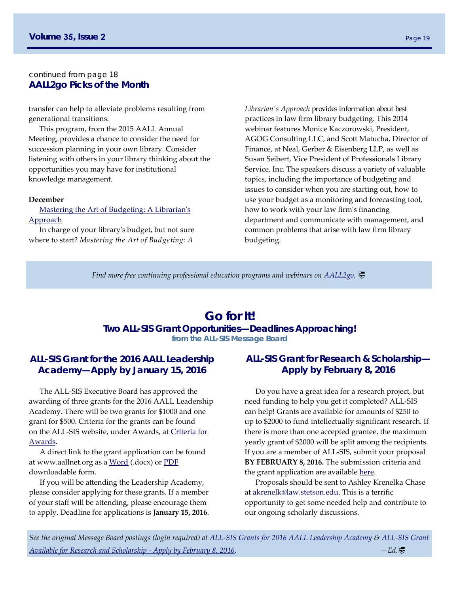#### continued from page 18 **AALL2go Picks of the Month**

transfer can help to alleviate problems resulting from generational transitions.

This program, from the 2015 AALL Annual Meeting, provides a chance to consider the need for succession planning in your own library. Consider listening with others in your library thinking about the opportunities you may have for institutional knowledge management.

#### **December**

Mastering the Art of Budgeting: A Librarian's Approach

In charge of your libraryʹs budget, but not sure where to start? *Mastering the Art of Budgeting: A* 

*Librarianʹs Approach* provides information about best practices in law firm library budgeting. This 2014 webinar features Monice Kaczorowski, President, AGOG Consulting LLC, and Scott Matucha, Director of Finance, at Neal, Gerber & Eisenberg LLP, as well as Susan Seibert, Vice President of Professionals Library Service, Inc. The speakers discuss a variety of valuable topics, including the importance of budgeting and issues to consider when you are starting out, how to use your budget as a monitoring and forecasting tool, how to work with your law firmʹs financing department and communicate with management, and common problems that arise with law firm library budgeting.

*Find more free continuing professional education programs and webinars on AALL2go.* 

# **Go for It!**

#### **Two ALL-SIS Grant Opportunities—Deadlines Approaching!**

**from the ALL-SIS Message Board** 

# **ALL-SIS Grant for the 2016 AALL Leadership Academy—Apply by January 15, 2016**

The ALL‐SIS Executive Board has approved the awarding of three grants for the 2016 AALL Leadership Academy. There will be two grants for \$1000 and one grant for \$500. Criteria for the grants can be found on the ALL‐SIS website, under Awards, at Criteria for Awards.

A direct link to the grant application can be found at www.aallnet.org as a Word (.docx) or PDF downloadable form.

If you will be attending the Leadership Academy, please consider applying for these grants. If a member of your staff will be attending, please encourage them to apply. Deadline for applications is **January 15, 2016**.

# **ALL-SIS Grant for Research & Scholarship— Apply by February 8, 2016**

Do you have a great idea for a research project, but need funding to help you get it completed? ALL‐SIS can help! Grants are available for amounts of \$250 to up to \$2000 to fund intellectually significant research. If there is more than one accepted grantee, the maximum yearly grant of \$2000 will be split among the recipients. If you are a member of ALL‐SIS, submit your proposal **BY FEBRUARY 8, 2016.** The submission criteria and the grant application are available here.

Proposals should be sent to Ashley Krenelka Chase at akrenelk@law.stetson.edu. This is a terrific opportunity to get some needed help and contribute to our ongoing scholarly discussions.

*See the original Message Board postings (login required) at ALL‐SIS Grants for 2016 AALL Leadership Academy & ALL‐SIS Grant Available for Research and Scholarship ‐ Apply by February 8, 2016. —Ed.*